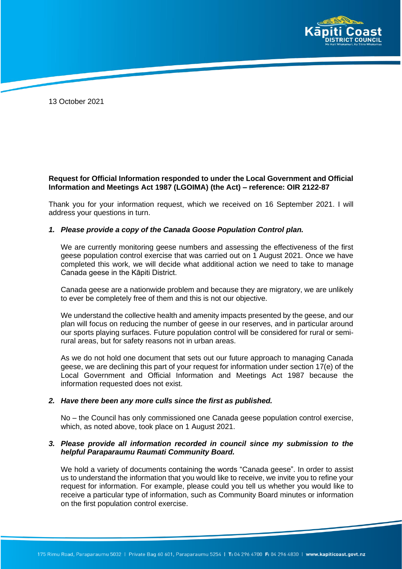

13 October 2021

# **Request for Official Information responded to under the Local Government and Official Information and Meetings Act 1987 (LGOIMA) (the Act) – reference: OIR 2122-87**

Thank you for your information request, which we received on 16 September 2021. I will address your questions in turn.

### *1. Please provide a copy of the Canada Goose Population Control plan.*

We are currently monitoring geese numbers and assessing the effectiveness of the first geese population control exercise that was carried out on 1 August 2021. Once we have completed this work, we will decide what additional action we need to take to manage Canada geese in the Kāpiti District.

Canada geese are a nationwide problem and because they are migratory, we are unlikely to ever be completely free of them and this is not our objective.

We understand the collective health and amenity impacts presented by the geese, and our plan will focus on reducing the number of geese in our reserves, and in particular around our sports playing surfaces. Future population control will be considered for rural or semirural areas, but for safety reasons not in urban areas.

As we do not hold one document that sets out our future approach to managing Canada geese, we are declining this part of your request for information under section 17(e) of the Local Government and Official Information and Meetings Act 1987 because the information requested does not exist.

#### *2. Have there been any more culls since the first as published.*

No – the Council has only commissioned one Canada geese population control exercise, which, as noted above, took place on 1 August 2021.

### *3. Please provide all information recorded in council since my submission to the helpful Paraparaumu Raumati Community Board.*

We hold a variety of documents containing the words "Canada geese". In order to assist us to understand the information that you would like to receive, we invite you to refine your request for information. For example, please could you tell us whether you would like to receive a particular type of information, such as Community Board minutes or information on the first population control exercise.